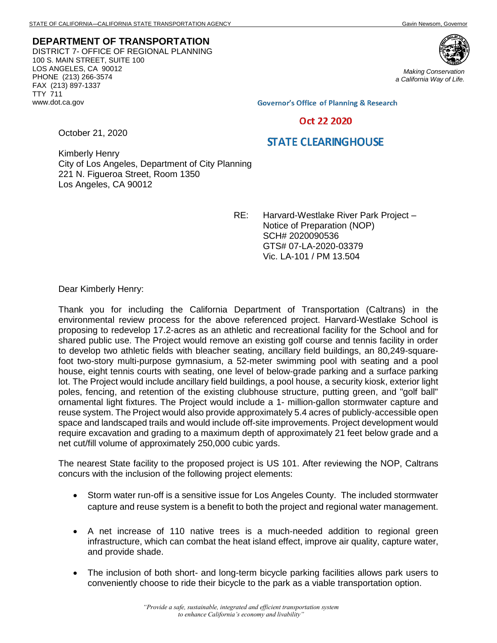**DEPARTMENT OF TRANSPORTATION** DISTRICT 7- OFFICE OF REGIONAL PLANNING 100 S. MAIN STREET, SUITE 100 LOS ANGELES, CA 90012 PHONE (213) 266-3574 FAX (213) 897-1337 TTY 711 www.dot.ca.gov



*Making Conservation a California Way of Life.*

**Governor's Office of Planning & Research** 

## Oct 22 2020

## **STATE CLEARINGHOUSE**

Kimberly Henry City of Los Angeles, Department of City Planning 221 N. Figueroa Street, Room 1350 Los Angeles, CA 90012

> RE: Harvard-Westlake River Park Project – Notice of Preparation (NOP) SCH# 2020090536 GTS# 07-LA-2020-03379 Vic. LA-101 / PM 13.504

Dear Kimberly Henry:

October 21, 2020

Thank you for including the California Department of Transportation (Caltrans) in the environmental review process for the above referenced project. Harvard-Westlake School is proposing to redevelop 17.2-acres as an athletic and recreational facility for the School and for shared public use. The Project would remove an existing golf course and tennis facility in order to develop two athletic fields with bleacher seating, ancillary field buildings, an 80,249-squarefoot two-story multi-purpose gymnasium, a 52-meter swimming pool with seating and a pool house, eight tennis courts with seating, one level of below-grade parking and a surface parking lot. The Project would include ancillary field buildings, a pool house, a security kiosk, exterior light poles, fencing, and retention of the existing clubhouse structure, putting green, and "golf ball" ornamental light fixtures. The Project would include a 1- million-gallon stormwater capture and reuse system. The Project would also provide approximately 5.4 acres of publicly-accessible open space and landscaped trails and would include off-site improvements. Project development would require excavation and grading to a maximum depth of approximately 21 feet below grade and a net cut/fill volume of approximately 250,000 cubic yards.

The nearest State facility to the proposed project is US 101. After reviewing the NOP, Caltrans concurs with the inclusion of the following project elements:

- Storm water run-off is a sensitive issue for Los Angeles County. The included stormwater capture and reuse system is a benefit to both the project and regional water management.
- A net increase of 110 native trees is a much-needed addition to regional green infrastructure, which can combat the heat island effect, improve air quality, capture water, and provide shade.
- The inclusion of both short- and long-term bicycle parking facilities allows park users to conveniently choose to ride their bicycle to the park as a viable transportation option.